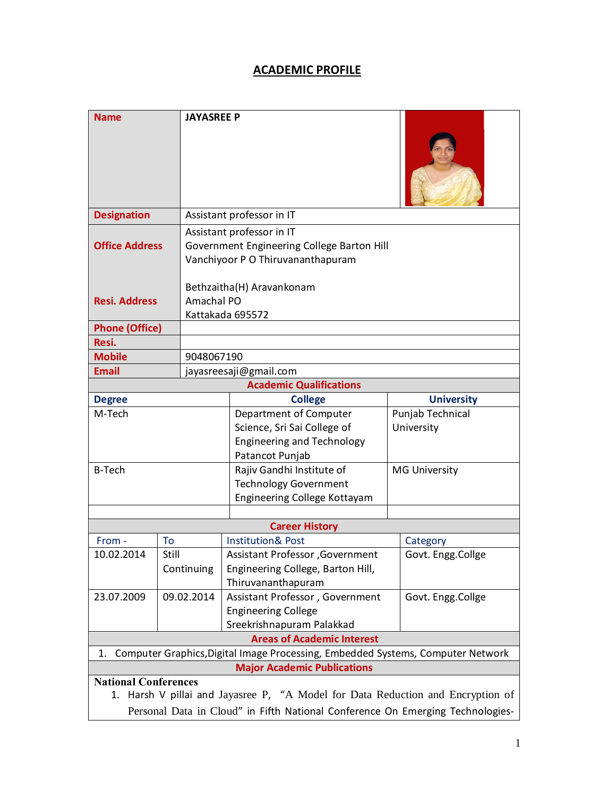# **ACADEMIC PROFILE**

| <b>Name</b>                                                                                                                                                                                      |                     | <b>JAYASREE P</b>                                                                                            |                                                                                                               |                                |                   |  |
|--------------------------------------------------------------------------------------------------------------------------------------------------------------------------------------------------|---------------------|--------------------------------------------------------------------------------------------------------------|---------------------------------------------------------------------------------------------------------------|--------------------------------|-------------------|--|
| <b>Designation</b>                                                                                                                                                                               |                     | Assistant professor in IT                                                                                    |                                                                                                               |                                |                   |  |
| <b>Office Address</b>                                                                                                                                                                            |                     | Assistant professor in IT<br>Government Engineering College Barton Hill<br>Vanchiyoor P O Thiruvananthapuram |                                                                                                               |                                |                   |  |
|                                                                                                                                                                                                  |                     | Bethzaitha(H) Aravankonam                                                                                    |                                                                                                               |                                |                   |  |
| <b>Resi. Address</b>                                                                                                                                                                             |                     | Amachal PO                                                                                                   |                                                                                                               |                                |                   |  |
| <b>Phone (Office)</b>                                                                                                                                                                            |                     | Kattakada 695572                                                                                             |                                                                                                               |                                |                   |  |
| Resi.                                                                                                                                                                                            |                     |                                                                                                              |                                                                                                               |                                |                   |  |
| <b>Mobile</b>                                                                                                                                                                                    |                     |                                                                                                              | 9048067190                                                                                                    |                                |                   |  |
| <b>Email</b>                                                                                                                                                                                     |                     | jayasreesaji@gmail.com                                                                                       |                                                                                                               |                                |                   |  |
| <b>Academic Qualifications</b>                                                                                                                                                                   |                     |                                                                                                              |                                                                                                               |                                |                   |  |
| <b>Degree</b>                                                                                                                                                                                    |                     |                                                                                                              | <b>College</b>                                                                                                |                                | <b>University</b> |  |
| M-Tech                                                                                                                                                                                           |                     |                                                                                                              | Department of Computer<br>Science, Sri Sai College of<br><b>Engineering and Technology</b><br>Patancot Punjab | Punjab Technical<br>University |                   |  |
| <b>B-Tech</b>                                                                                                                                                                                    |                     |                                                                                                              | Rajiv Gandhi Institute of<br><b>Technology Government</b><br>Engineering College Kottayam                     | <b>MG University</b>           |                   |  |
| <b>Career History</b>                                                                                                                                                                            |                     |                                                                                                              |                                                                                                               |                                |                   |  |
| From -                                                                                                                                                                                           | To                  |                                                                                                              | <b>Institution&amp; Post</b>                                                                                  |                                | Category          |  |
| 10.02.2014                                                                                                                                                                                       | Still<br>Continuing |                                                                                                              | Assistant Professor , Government<br>Engineering College, Barton Hill,<br>Thiruvananthapuram                   |                                | Govt. Engg.Collge |  |
| 23.07.2009                                                                                                                                                                                       | 09.02.2014          |                                                                                                              | Assistant Professor, Government<br><b>Engineering College</b><br>Sreekrishnapuram Palakkad                    |                                | Govt. Engg.Collge |  |
| <b>Areas of Academic Interest</b>                                                                                                                                                                |                     |                                                                                                              |                                                                                                               |                                |                   |  |
| Computer Graphics, Digital Image Processing, Embedded Systems, Computer Network<br>1.                                                                                                            |                     |                                                                                                              |                                                                                                               |                                |                   |  |
| <b>Major Academic Publications</b>                                                                                                                                                               |                     |                                                                                                              |                                                                                                               |                                |                   |  |
| <b>National Conferences</b><br>1. Harsh V pillai and Jayasree P, "A Model for Data Reduction and Encryption of<br>Personal Data in Cloud" in Fifth National Conference On Emerging Technologies- |                     |                                                                                                              |                                                                                                               |                                |                   |  |